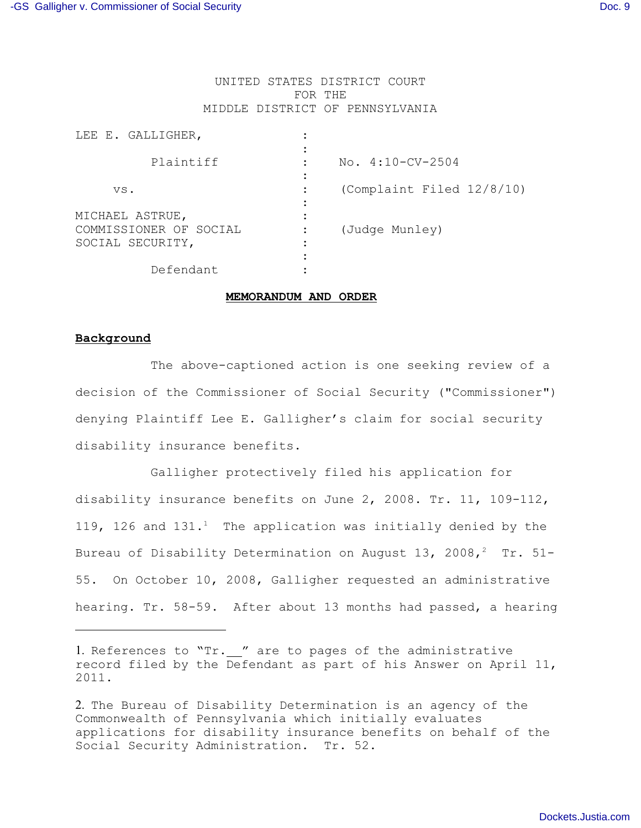# UNITED STATES DISTRICT COURT FOR THE MIDDLE DISTRICT OF PENNSYLVANIA

| LEE E. GALLIGHER,                         |                           |
|-------------------------------------------|---------------------------|
| Plaintiff                                 | No. $4:10-CV-2504$        |
| VS.                                       | (Complaint Filed 12/8/10) |
| MICHAEL ASTRUE,<br>COMMISSIONER OF SOCIAL |                           |
| SOCIAL SECURITY,                          | (Judge Munley)            |
| Defendant                                 |                           |

### **MEMORANDUM AND ORDER**

# **Background**

 The above-captioned action is one seeking review of a decision of the Commissioner of Social Security ("Commissioner") denying Plaintiff Lee E. Galligher's claim for social security disability insurance benefits.

Galligher protectively filed his application for disability insurance benefits on June 2, 2008. Tr. 11, 109-112, 119, 126 and  $131.^1$  The application was initially denied by the Bureau of Disability Determination on August 13, 2008,<sup>2</sup> Tr. 51-55. On October 10, 2008, Galligher requested an administrative hearing. Tr. 58-59. After about 13 months had passed, a hearing

<sup>1.</sup> References to "Tr. " are to pages of the administrative record filed by the Defendant as part of his Answer on April 11, 2011.

<sup>2.</sup> The Bureau of Disability Determination is an agency of the Commonwealth of Pennsylvania which initially evaluates applications for disability insurance benefits on behalf of the Social Security Administration. Tr. 52.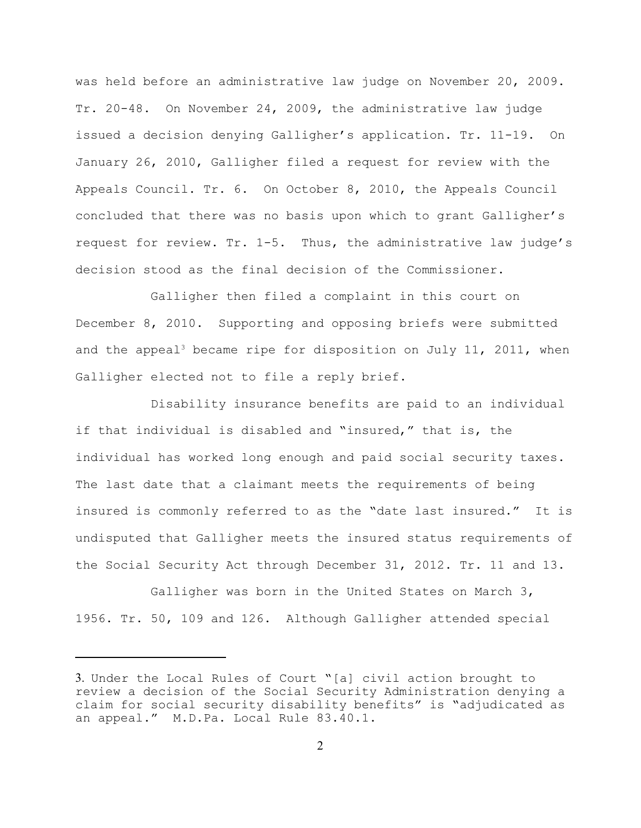was held before an administrative law judge on November 20, 2009. Tr. 20-48. On November 24, 2009, the administrative law judge issued a decision denying Galligher's application. Tr. 11-19. On January 26, 2010, Galligher filed a request for review with the Appeals Council. Tr. 6. On October 8, 2010, the Appeals Council concluded that there was no basis upon which to grant Galligher's request for review. Tr. 1-5. Thus, the administrative law judge's decision stood as the final decision of the Commissioner.

Galligher then filed a complaint in this court on December 8, 2010. Supporting and opposing briefs were submitted and the appeal<sup>3</sup> became ripe for disposition on July 11, 2011, when Galligher elected not to file a reply brief.

Disability insurance benefits are paid to an individual if that individual is disabled and "insured," that is, the individual has worked long enough and paid social security taxes. The last date that a claimant meets the requirements of being insured is commonly referred to as the "date last insured." It is undisputed that Galligher meets the insured status requirements of the Social Security Act through December 31, 2012. Tr. 11 and 13.

Galligher was born in the United States on March 3, 1956. Tr. 50, 109 and 126. Although Galligher attended special

<sup>3.</sup> Under the Local Rules of Court "[a] civil action brought to review a decision of the Social Security Administration denying a claim for social security disability benefits" is "adjudicated as an appeal." M.D.Pa. Local Rule 83.40.1.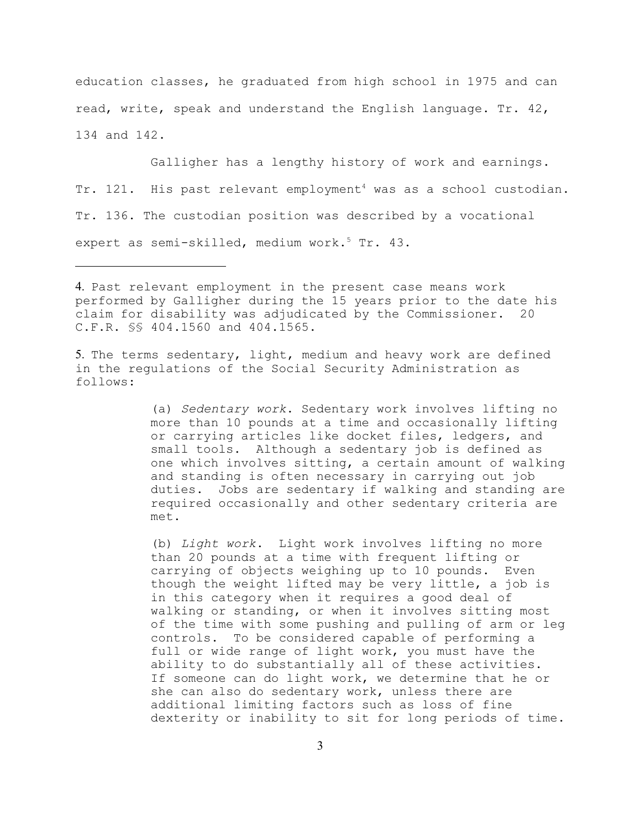education classes, he graduated from high school in 1975 and can read, write, speak and understand the English language. Tr. 42, 134 and 142.

Galligher has a lengthy history of work and earnings. Tr. 121. His past relevant employment<sup>4</sup> was as a school custodian. Tr. 136. The custodian position was described by a vocational expert as semi-skilled, medium work.<sup>5</sup> Tr. 43.

5. The terms sedentary, light, medium and heavy work are defined in the regulations of the Social Security Administration as follows:

> (a) *Sedentary work*. Sedentary work involves lifting no more than 10 pounds at a time and occasionally lifting or carrying articles like docket files, ledgers, and small tools. Although a sedentary job is defined as one which involves sitting, a certain amount of walking and standing is often necessary in carrying out job duties. Jobs are sedentary if walking and standing are required occasionally and other sedentary criteria are met.

> (b) *Light work*. Light work involves lifting no more than 20 pounds at a time with frequent lifting or carrying of objects weighing up to 10 pounds. Even though the weight lifted may be very little, a job is in this category when it requires a good deal of walking or standing, or when it involves sitting most of the time with some pushing and pulling of arm or leg controls. To be considered capable of performing a full or wide range of light work, you must have the ability to do substantially all of these activities. If someone can do light work, we determine that he or she can also do sedentary work, unless there are additional limiting factors such as loss of fine dexterity or inability to sit for long periods of time.

<sup>4.</sup> Past relevant employment in the present case means work performed by Galligher during the 15 years prior to the date his claim for disability was adjudicated by the Commissioner. 20 C.F.R. §§ 404.1560 and 404.1565.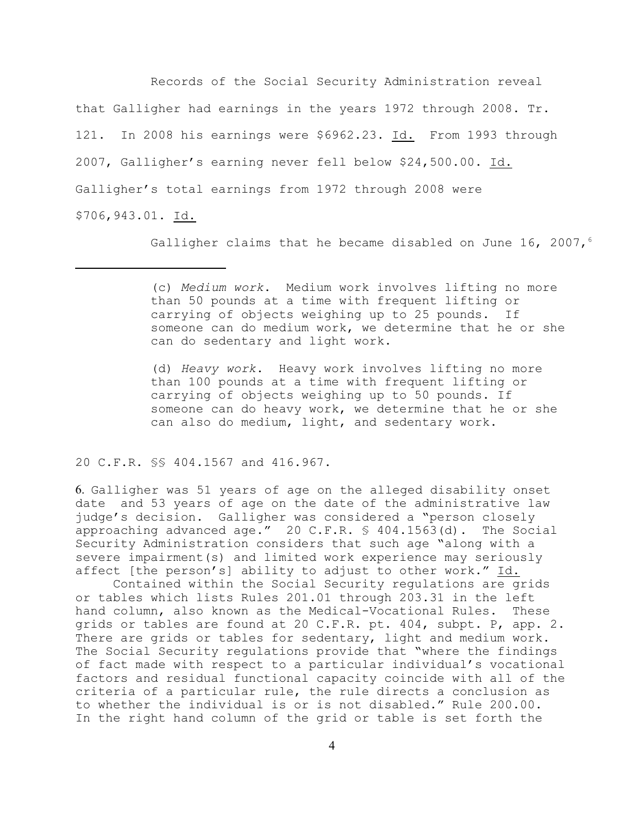Records of the Social Security Administration reveal that Galligher had earnings in the years 1972 through 2008. Tr. 121. In 2008 his earnings were \$6962.23. Id. From 1993 through 2007, Galligher's earning never fell below \$24,500.00. Id. Galligher's total earnings from 1972 through 2008 were \$706,943.01. Id.

Galligher claims that he became disabled on June 16, 2007,<sup>6</sup>

(d) *Heavy work*. Heavy work involves lifting no more than 100 pounds at a time with frequent lifting or carrying of objects weighing up to 50 pounds. If someone can do heavy work, we determine that he or she can also do medium, light, and sedentary work.

20 C.F.R. §§ 404.1567 and 416.967.

6. Galligher was 51 years of age on the alleged disability onset date and 53 years of age on the date of the administrative law judge's decision. Galligher was considered a "person closely approaching advanced age." 20 C.F.R. § 404.1563(d). The Social Security Administration considers that such age "along with a severe impairment(s) and limited work experience may seriously affect [the person's] ability to adjust to other work." Id.

Contained within the Social Security regulations are grids or tables which lists Rules 201.01 through 203.31 in the left hand column, also known as the Medical-Vocational Rules. These grids or tables are found at 20 C.F.R. pt. 404, subpt. P, app. 2. There are grids or tables for sedentary, light and medium work. The Social Security regulations provide that "where the findings of fact made with respect to a particular individual's vocational factors and residual functional capacity coincide with all of the criteria of a particular rule, the rule directs a conclusion as to whether the individual is or is not disabled." Rule 200.00. In the right hand column of the grid or table is set forth the

<sup>(</sup>c) *Medium work*. Medium work involves lifting no more than 50 pounds at a time with frequent lifting or carrying of objects weighing up to 25 pounds. If someone can do medium work, we determine that he or she can do sedentary and light work.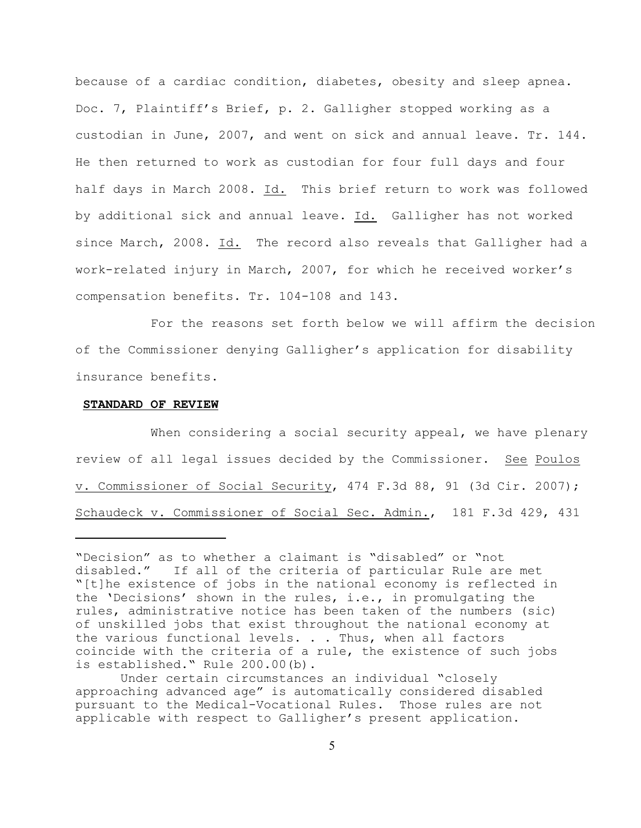because of a cardiac condition, diabetes, obesity and sleep apnea. Doc. 7, Plaintiff's Brief, p. 2. Galligher stopped working as a custodian in June, 2007, and went on sick and annual leave. Tr. 144. He then returned to work as custodian for four full days and four half days in March 2008. Id. This brief return to work was followed by additional sick and annual leave. Id. Galligher has not worked since March, 2008. Id. The record also reveals that Galligher had a work-related injury in March, 2007, for which he received worker's compensation benefits. Tr. 104-108 and 143.

For the reasons set forth below we will affirm the decision of the Commissioner denying Galligher's application for disability insurance benefits.

#### **STANDARD OF REVIEW**

When considering a social security appeal, we have plenary review of all legal issues decided by the Commissioner. See Poulos v. Commissioner of Social Security, 474 F.3d 88, 91 (3d Cir. 2007); Schaudeck v. Commissioner of Social Sec. Admin., 181 F.3d 429, 431

<sup>&</sup>quot;Decision" as to whether a claimant is "disabled" or "not disabled." If all of the criteria of particular Rule are met "[t]he existence of jobs in the national economy is reflected in the 'Decisions' shown in the rules, i.e., in promulgating the rules, administrative notice has been taken of the numbers (sic) of unskilled jobs that exist throughout the national economy at the various functional levels. . . Thus, when all factors coincide with the criteria of a rule, the existence of such jobs is established." Rule 200.00(b).

Under certain circumstances an individual "closely approaching advanced age" is automatically considered disabled pursuant to the Medical-Vocational Rules. Those rules are not applicable with respect to Galligher's present application.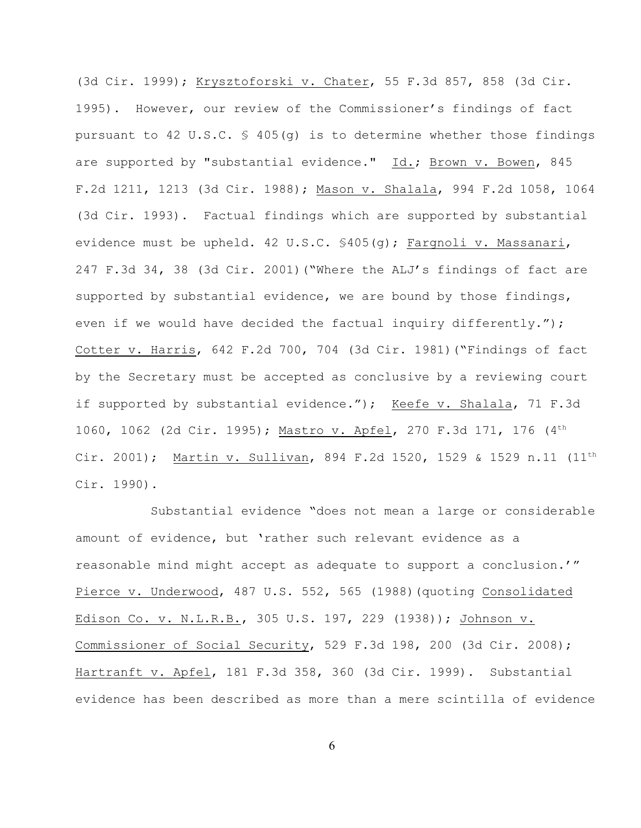(3d Cir. 1999); Krysztoforski v. Chater, 55 F.3d 857, 858 (3d Cir. 1995). However, our review of the Commissioner's findings of fact pursuant to 42 U.S.C.  $\frac{1}{5}$  405(q) is to determine whether those findings are supported by "substantial evidence." Id.; Brown v. Bowen, 845 F.2d 1211, 1213 (3d Cir. 1988); Mason v. Shalala, 994 F.2d 1058, 1064 (3d Cir. 1993). Factual findings which are supported by substantial evidence must be upheld. 42 U.S.C. §405(g); Fargnoli v. Massanari, 247 F.3d 34, 38 (3d Cir. 2001)("Where the ALJ's findings of fact are supported by substantial evidence, we are bound by those findings, even if we would have decided the factual inquiry differently."); Cotter v. Harris, 642 F.2d 700, 704 (3d Cir. 1981)("Findings of fact by the Secretary must be accepted as conclusive by a reviewing court if supported by substantial evidence."); Keefe v. Shalala, 71 F.3d 1060, 1062 (2d Cir. 1995); Mastro v. Apfel, 270 F.3d 171, 176 (4th Cir. 2001); Martin v. Sullivan, 894 F.2d 1520, 1529 & 1529 n.11  $(11^{th}$ Cir. 1990).

Substantial evidence "does not mean a large or considerable amount of evidence, but 'rather such relevant evidence as a reasonable mind might accept as adequate to support a conclusion.'" Pierce v. Underwood, 487 U.S. 552, 565 (1988) (quoting Consolidated Edison Co. v. N.L.R.B., 305 U.S. 197, 229 (1938)); Johnson v. Commissioner of Social Security, 529 F.3d 198, 200 (3d Cir. 2008); Hartranft v. Apfel, 181 F.3d 358, 360 (3d Cir. 1999). Substantial evidence has been described as more than a mere scintilla of evidence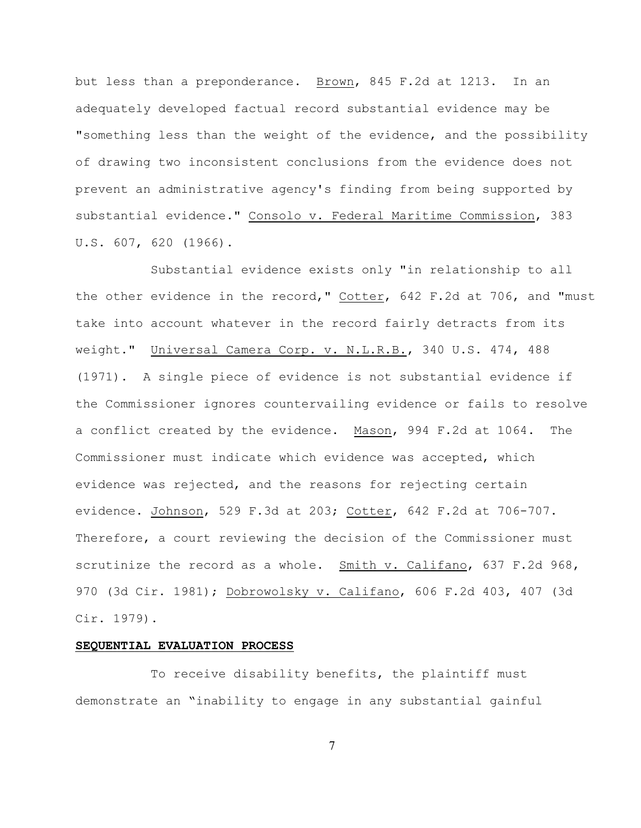but less than a preponderance. Brown, 845 F.2d at 1213. In an adequately developed factual record substantial evidence may be "something less than the weight of the evidence, and the possibility of drawing two inconsistent conclusions from the evidence does not prevent an administrative agency's finding from being supported by substantial evidence." Consolo v. Federal Maritime Commission, 383 U.S. 607, 620 (1966).

Substantial evidence exists only "in relationship to all the other evidence in the record," Cotter, 642 F.2d at 706, and "must take into account whatever in the record fairly detracts from its weight." Universal Camera Corp. v. N.L.R.B., 340 U.S. 474, 488 (1971). A single piece of evidence is not substantial evidence if the Commissioner ignores countervailing evidence or fails to resolve a conflict created by the evidence. Mason, 994 F.2d at 1064. The Commissioner must indicate which evidence was accepted, which evidence was rejected, and the reasons for rejecting certain evidence. Johnson, 529 F.3d at 203; Cotter, 642 F.2d at 706-707. Therefore, a court reviewing the decision of the Commissioner must scrutinize the record as a whole. Smith v. Califano, 637 F.2d 968, 970 (3d Cir. 1981); Dobrowolsky v. Califano, 606 F.2d 403, 407 (3d Cir. 1979).

#### **SEQUENTIAL EVALUATION PROCESS**

To receive disability benefits, the plaintiff must demonstrate an "inability to engage in any substantial gainful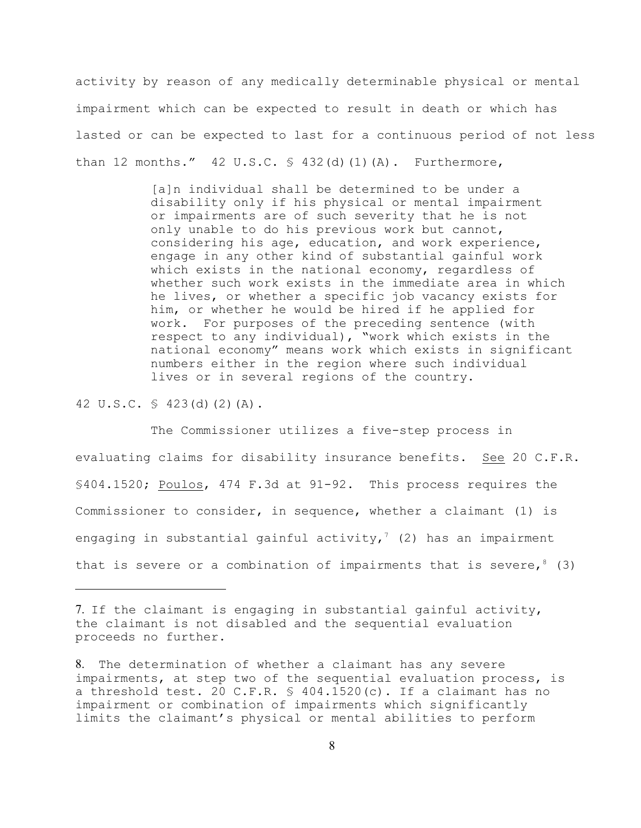activity by reason of any medically determinable physical or mental impairment which can be expected to result in death or which has lasted or can be expected to last for a continuous period of not less than 12 months."  $42 \text{ U.S.C. } $ 432 \text{ (d) (1) (A)}.$  Furthermore,

> [a]n individual shall be determined to be under a disability only if his physical or mental impairment or impairments are of such severity that he is not only unable to do his previous work but cannot, considering his age, education, and work experience, engage in any other kind of substantial gainful work which exists in the national economy, regardless of whether such work exists in the immediate area in which he lives, or whether a specific job vacancy exists for him, or whether he would be hired if he applied for work. For purposes of the preceding sentence (with respect to any individual), "work which exists in the national economy" means work which exists in significant numbers either in the region where such individual lives or in several regions of the country.

42 U.S.C. § 423(d)(2)(A).

The Commissioner utilizes a five-step process in evaluating claims for disability insurance benefits. See 20 C.F.R. §404.1520; Poulos, 474 F.3d at 91-92. This process requires the Commissioner to consider, in sequence, whether a claimant (1) is engaging in substantial gainful activity,<sup>7</sup> (2) has an impairment that is severe or a combination of impairments that is severe,  $8(3)$ 

<sup>7.</sup> If the claimant is engaging in substantial gainful activity, the claimant is not disabled and the sequential evaluation proceeds no further.

<sup>8.</sup> The determination of whether a claimant has any severe impairments, at step two of the sequential evaluation process, is a threshold test. 20 C.F.R. § 404.1520(c). If a claimant has no impairment or combination of impairments which significantly limits the claimant's physical or mental abilities to perform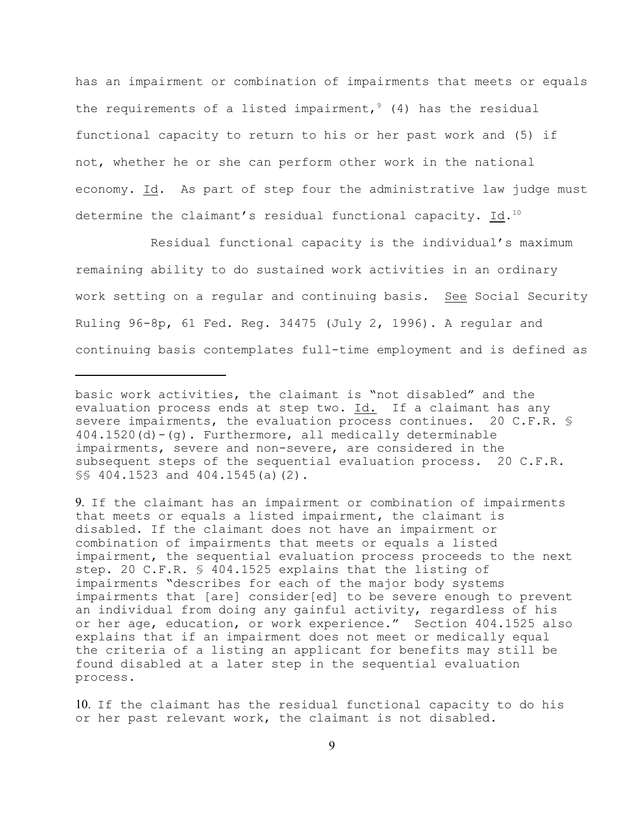has an impairment or combination of impairments that meets or equals the requirements of a listed impairment,  $9(4)$  has the residual functional capacity to return to his or her past work and (5) if not, whether he or she can perform other work in the national economy. Id. As part of step four the administrative law judge must determine the claimant's residual functional capacity. Id.<sup>10</sup>

Residual functional capacity is the individual's maximum remaining ability to do sustained work activities in an ordinary work setting on a regular and continuing basis. See Social Security Ruling 96-8p, 61 Fed. Reg. 34475 (July 2, 1996). A regular and continuing basis contemplates full-time employment and is defined as

basic work activities, the claimant is "not disabled" and the evaluation process ends at step two. Id. If a claimant has any severe impairments, the evaluation process continues. 20 C.F.R. § 404.1520(d)-(g). Furthermore, all medically determinable impairments, severe and non-severe, are considered in the subsequent steps of the sequential evaluation process. 20 C.F.R. §§ 404.1523 and 404.1545(a)(2).

<sup>9.</sup> If the claimant has an impairment or combination of impairments that meets or equals a listed impairment, the claimant is disabled. If the claimant does not have an impairment or combination of impairments that meets or equals a listed impairment, the sequential evaluation process proceeds to the next step. 20 C.F.R. § 404.1525 explains that the listing of impairments "describes for each of the major body systems impairments that [are] consider[ed] to be severe enough to prevent an individual from doing any gainful activity, regardless of his or her age, education, or work experience." Section 404.1525 also explains that if an impairment does not meet or medically equal the criteria of a listing an applicant for benefits may still be found disabled at a later step in the sequential evaluation process.

<sup>10.</sup> If the claimant has the residual functional capacity to do his or her past relevant work, the claimant is not disabled.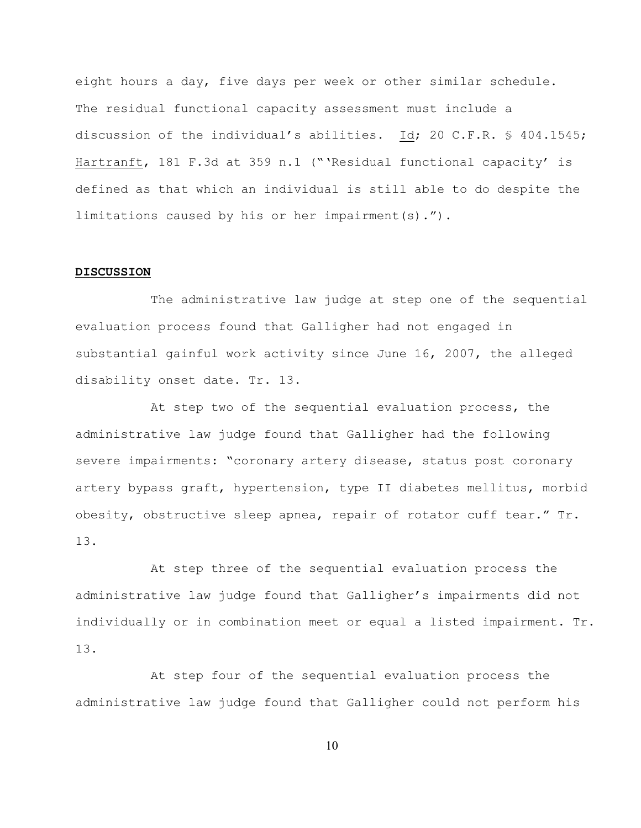eight hours a day, five days per week or other similar schedule. The residual functional capacity assessment must include a discussion of the individual's abilities. Id; 20 C.F.R. § 404.1545; Hartranft, 181 F.3d at 359 n.1 ("'Residual functional capacity' is defined as that which an individual is still able to do despite the limitations caused by his or her impairment(s).").

## **DISCUSSION**

The administrative law judge at step one of the sequential evaluation process found that Galligher had not engaged in substantial gainful work activity since June 16, 2007, the alleged disability onset date. Tr. 13.

At step two of the sequential evaluation process, the administrative law judge found that Galligher had the following severe impairments: "coronary artery disease, status post coronary artery bypass graft, hypertension, type II diabetes mellitus, morbid obesity, obstructive sleep apnea, repair of rotator cuff tear." Tr. 13.

At step three of the sequential evaluation process the administrative law judge found that Galligher's impairments did not individually or in combination meet or equal a listed impairment. Tr. 13.

At step four of the sequential evaluation process the administrative law judge found that Galligher could not perform his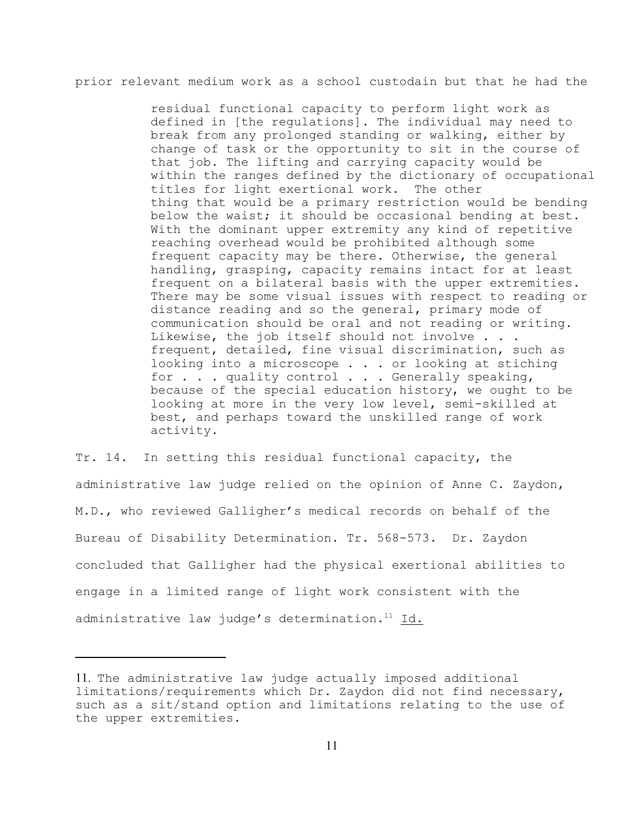prior relevant medium work as a school custodain but that he had the

residual functional capacity to perform light work as defined in [the regulations]. The individual may need to break from any prolonged standing or walking, either by change of task or the opportunity to sit in the course of that job. The lifting and carrying capacity would be within the ranges defined by the dictionary of occupational titles for light exertional work. The other thing that would be a primary restriction would be bending below the waist; it should be occasional bending at best. With the dominant upper extremity any kind of repetitive reaching overhead would be prohibited although some frequent capacity may be there. Otherwise, the general handling, grasping, capacity remains intact for at least frequent on a bilateral basis with the upper extremities. There may be some visual issues with respect to reading or distance reading and so the general, primary mode of communication should be oral and not reading or writing. Likewise, the job itself should not involve . . . frequent, detailed, fine visual discrimination, such as looking into a microscope . . . or looking at stiching for . . . quality control . . . Generally speaking, because of the special education history, we ought to be looking at more in the very low level, semi-skilled at best, and perhaps toward the unskilled range of work activity.

Tr. 14. In setting this residual functional capacity, the administrative law judge relied on the opinion of Anne C. Zaydon, M.D., who reviewed Galligher's medical records on behalf of the Bureau of Disability Determination. Tr. 568-573. Dr. Zaydon concluded that Galligher had the physical exertional abilities to engage in a limited range of light work consistent with the administrative law judge's determination. $11$  Id.

<sup>11.</sup> The administrative law judge actually imposed additional limitations/requirements which Dr. Zaydon did not find necessary, such as a sit/stand option and limitations relating to the use of the upper extremities.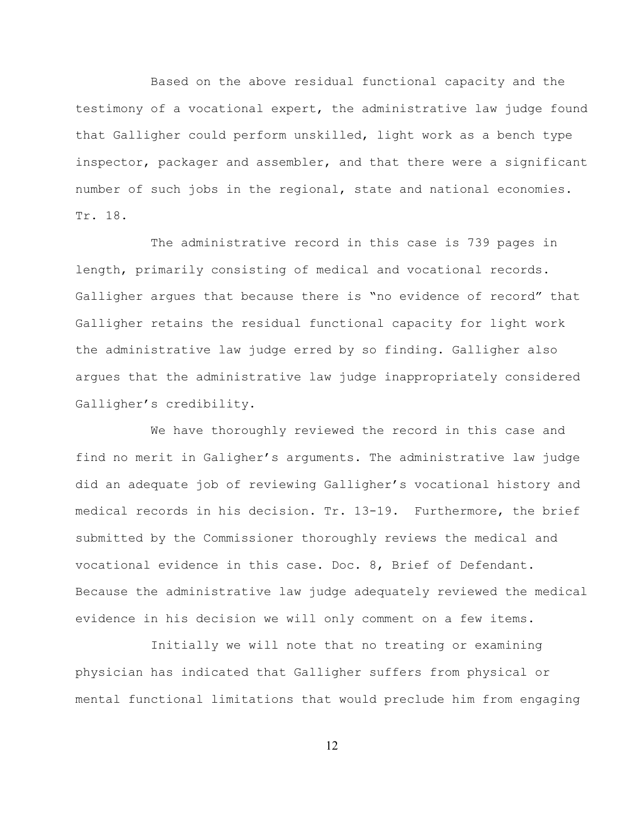Based on the above residual functional capacity and the testimony of a vocational expert, the administrative law judge found that Galligher could perform unskilled, light work as a bench type inspector, packager and assembler, and that there were a significant number of such jobs in the regional, state and national economies. Tr. 18.

The administrative record in this case is 739 pages in length, primarily consisting of medical and vocational records. Galligher argues that because there is "no evidence of record" that Galligher retains the residual functional capacity for light work the administrative law judge erred by so finding. Galligher also argues that the administrative law judge inappropriately considered Galligher's credibility.

We have thoroughly reviewed the record in this case and find no merit in Galigher's arguments. The administrative law judge did an adequate job of reviewing Galligher's vocational history and medical records in his decision. Tr. 13-19. Furthermore, the brief submitted by the Commissioner thoroughly reviews the medical and vocational evidence in this case. Doc. 8, Brief of Defendant. Because the administrative law judge adequately reviewed the medical evidence in his decision we will only comment on a few items.

Initially we will note that no treating or examining physician has indicated that Galligher suffers from physical or mental functional limitations that would preclude him from engaging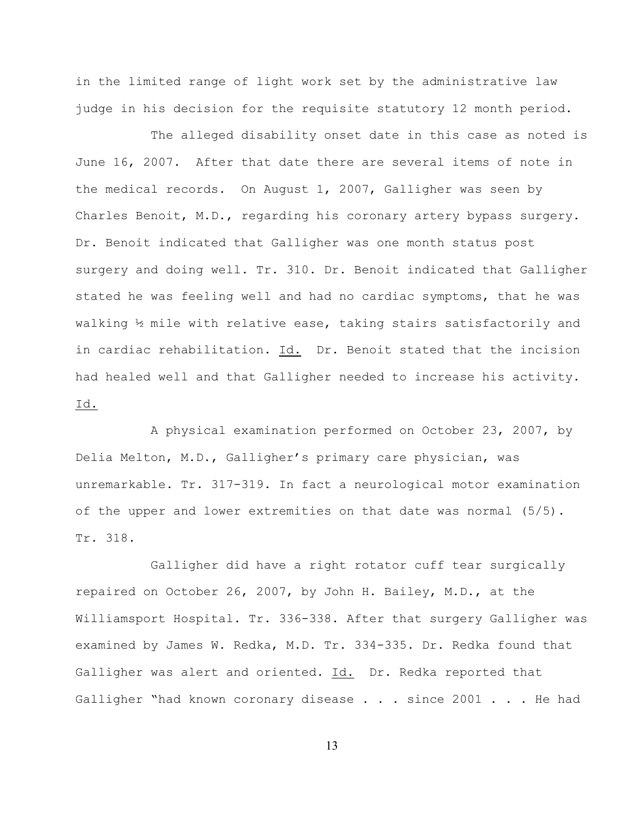in the limited range of light work set by the administrative law judge in his decision for the requisite statutory 12 month period.

The alleged disability onset date in this case as noted is June 16, 2007. After that date there are several items of note in the medical records. On August 1, 2007, Galligher was seen by Charles Benoit, M.D., regarding his coronary artery bypass surgery. Dr. Benoit indicated that Galligher was one month status post surgery and doing well. Tr. 310. Dr. Benoit indicated that Galligher stated he was feeling well and had no cardiac symptoms, that he was walking ½ mile with relative ease, taking stairs satisfactorily and in cardiac rehabilitation. Id. Dr. Benoit stated that the incision had healed well and that Galligher needed to increase his activity. Id.

A physical examination performed on October 23, 2007, by Delia Melton, M.D., Galligher's primary care physician, was unremarkable. Tr. 317-319. In fact a neurological motor examination of the upper and lower extremities on that date was normal (5/5). Tr. 318.

Galligher did have a right rotator cuff tear surgically repaired on October 26, 2007, by John H. Bailey, M.D., at the Williamsport Hospital. Tr. 336-338. After that surgery Galligher was examined by James W. Redka, M.D. Tr. 334-335. Dr. Redka found that Galligher was alert and oriented. Id. Dr. Redka reported that Galligher "had known coronary disease . . . since 2001 . . . He had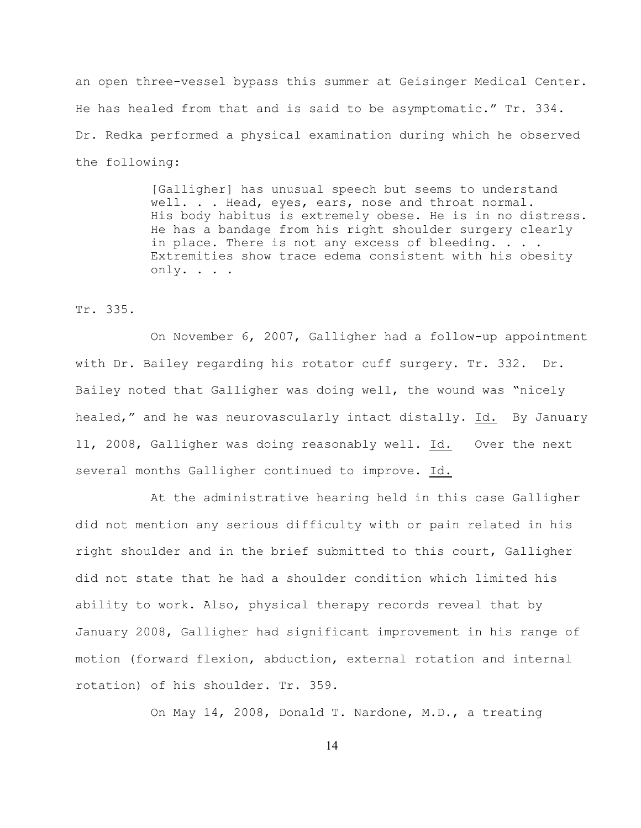an open three-vessel bypass this summer at Geisinger Medical Center. He has healed from that and is said to be asymptomatic." Tr. 334. Dr. Redka performed a physical examination during which he observed the following:

> [Galligher] has unusual speech but seems to understand well. . . Head, eyes, ears, nose and throat normal. His body habitus is extremely obese. He is in no distress. He has a bandage from his right shoulder surgery clearly in place. There is not any excess of bleeding. . . . Extremities show trace edema consistent with his obesity only. . . .

Tr. 335.

On November 6, 2007, Galligher had a follow-up appointment with Dr. Bailey regarding his rotator cuff surgery. Tr. 332. Dr. Bailey noted that Galligher was doing well, the wound was "nicely healed," and he was neurovascularly intact distally. Id. By January 11, 2008, Galligher was doing reasonably well. Id. Over the next several months Galligher continued to improve. Id.

At the administrative hearing held in this case Galligher did not mention any serious difficulty with or pain related in his right shoulder and in the brief submitted to this court, Galligher did not state that he had a shoulder condition which limited his ability to work. Also, physical therapy records reveal that by January 2008, Galligher had significant improvement in his range of motion (forward flexion, abduction, external rotation and internal rotation) of his shoulder. Tr. 359.

On May 14, 2008, Donald T. Nardone, M.D., a treating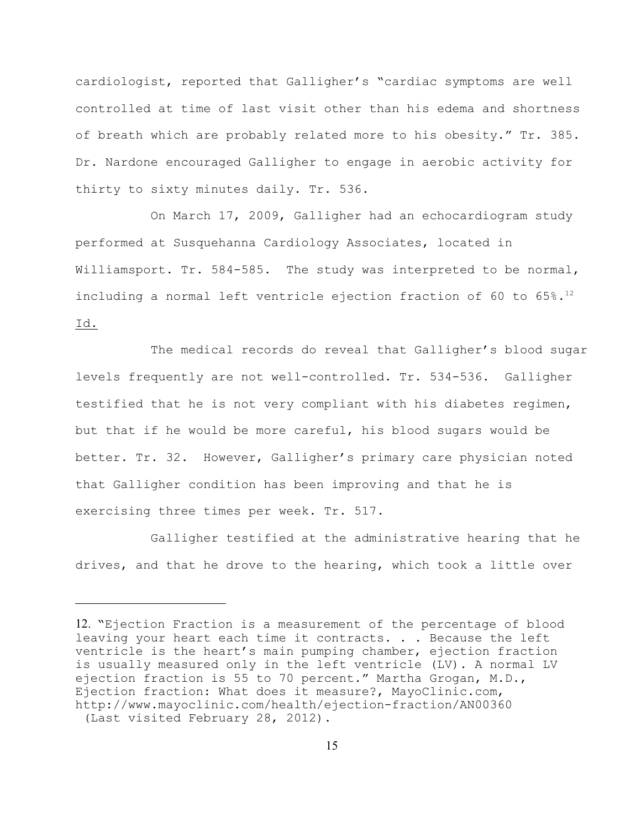cardiologist, reported that Galligher's "cardiac symptoms are well controlled at time of last visit other than his edema and shortness of breath which are probably related more to his obesity." Tr. 385. Dr. Nardone encouraged Galligher to engage in aerobic activity for thirty to sixty minutes daily. Tr. 536.

On March 17, 2009, Galligher had an echocardiogram study performed at Susquehanna Cardiology Associates, located in Williamsport. Tr. 584-585. The study was interpreted to be normal, including a normal left ventricle ejection fraction of 60 to 65%.<sup>12</sup> Id.

The medical records do reveal that Galligher's blood sugar levels frequently are not well-controlled. Tr. 534-536. Galligher testified that he is not very compliant with his diabetes regimen, but that if he would be more careful, his blood sugars would be better. Tr. 32. However, Galligher's primary care physician noted that Galligher condition has been improving and that he is exercising three times per week. Tr. 517.

Galligher testified at the administrative hearing that he drives, and that he drove to the hearing, which took a little over

<sup>12.</sup> "Ejection Fraction is a measurement of the percentage of blood leaving your heart each time it contracts. . . Because the left ventricle is the heart's main pumping chamber, ejection fraction is usually measured only in the left ventricle (LV). A normal LV ejection fraction is 55 to 70 percent." Martha Grogan, M.D., Ejection fraction: What does it measure?, MayoClinic.com, http://www.mayoclinic.com/health/ejection-fraction/AN00360 (Last visited February 28, 2012).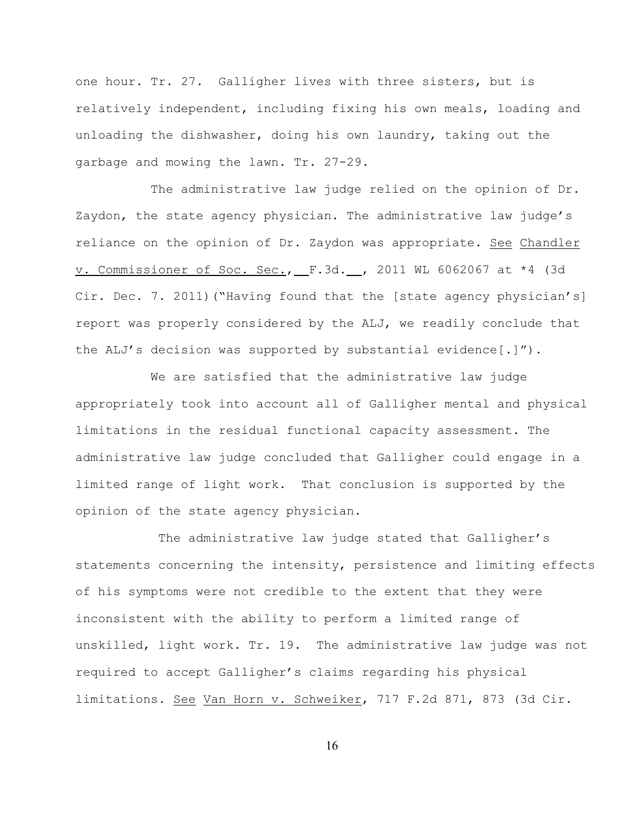one hour. Tr. 27. Galligher lives with three sisters, but is relatively independent, including fixing his own meals, loading and unloading the dishwasher, doing his own laundry, taking out the garbage and mowing the lawn. Tr. 27-29.

The administrative law judge relied on the opinion of Dr. Zaydon, the state agency physician. The administrative law judge's reliance on the opinion of Dr. Zaydon was appropriate. See Chandler v. Commissioner of Soc. Sec., F.3d. , 2011 WL 6062067 at \*4 (3d Cir. Dec. 7. 2011)("Having found that the [state agency physician's] report was properly considered by the ALJ, we readily conclude that the ALJ's decision was supported by substantial evidence[.]").

We are satisfied that the administrative law judge appropriately took into account all of Galligher mental and physical limitations in the residual functional capacity assessment. The administrative law judge concluded that Galligher could engage in a limited range of light work. That conclusion is supported by the opinion of the state agency physician.

 The administrative law judge stated that Galligher's statements concerning the intensity, persistence and limiting effects of his symptoms were not credible to the extent that they were inconsistent with the ability to perform a limited range of unskilled, light work. Tr. 19. The administrative law judge was not required to accept Galligher's claims regarding his physical limitations. See Van Horn v. Schweiker, 717 F.2d 871, 873 (3d Cir.